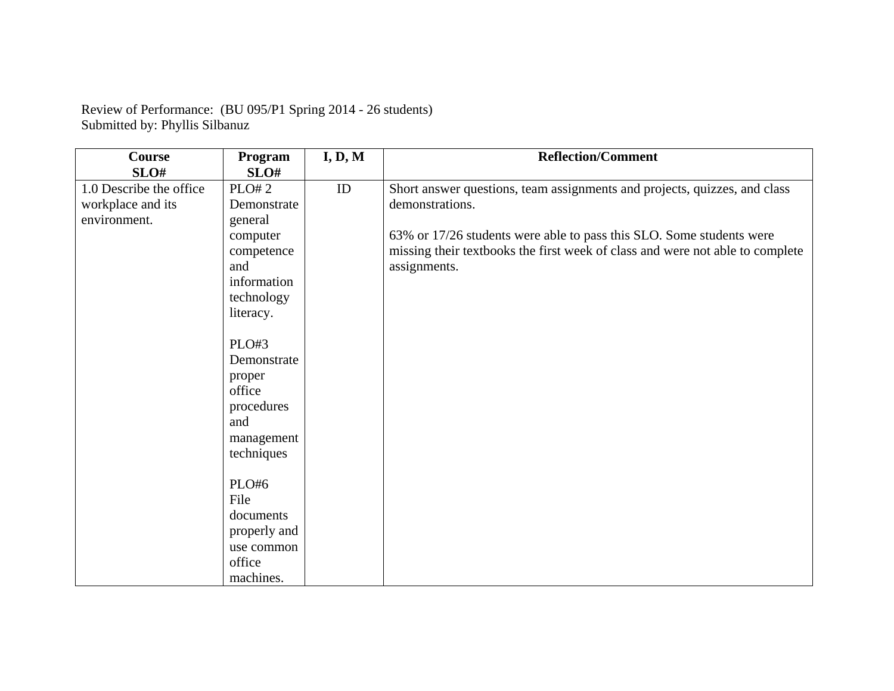|                                | Review of Performance: (BU 095/P1 Spring 2014 - 26 students) |
|--------------------------------|--------------------------------------------------------------|
| Submitted by: Phyllis Silbanuz |                                                              |

| <b>Course</b>           | Program              | I, D, M  | <b>Reflection/Comment</b>                                                     |
|-------------------------|----------------------|----------|-------------------------------------------------------------------------------|
| SLO#                    | SLO#                 |          |                                                                               |
| 1.0 Describe the office | <b>PLO#2</b>         | $\rm ID$ | Short answer questions, team assignments and projects, quizzes, and class     |
| workplace and its       | Demonstrate          |          | demonstrations.                                                               |
| environment.            | general              |          |                                                                               |
|                         | computer             |          | 63% or 17/26 students were able to pass this SLO. Some students were          |
|                         | competence           |          | missing their textbooks the first week of class and were not able to complete |
|                         | and                  |          | assignments.                                                                  |
|                         | information          |          |                                                                               |
|                         | technology           |          |                                                                               |
|                         | literacy.            |          |                                                                               |
|                         |                      |          |                                                                               |
|                         | PLO#3                |          |                                                                               |
|                         | Demonstrate          |          |                                                                               |
|                         | proper               |          |                                                                               |
|                         | office               |          |                                                                               |
|                         | procedures           |          |                                                                               |
|                         | and                  |          |                                                                               |
|                         | management           |          |                                                                               |
|                         | techniques           |          |                                                                               |
|                         | PLO#6                |          |                                                                               |
|                         | File                 |          |                                                                               |
|                         |                      |          |                                                                               |
|                         | documents            |          |                                                                               |
|                         | properly and         |          |                                                                               |
|                         | use common<br>office |          |                                                                               |
|                         |                      |          |                                                                               |
|                         | machines.            |          |                                                                               |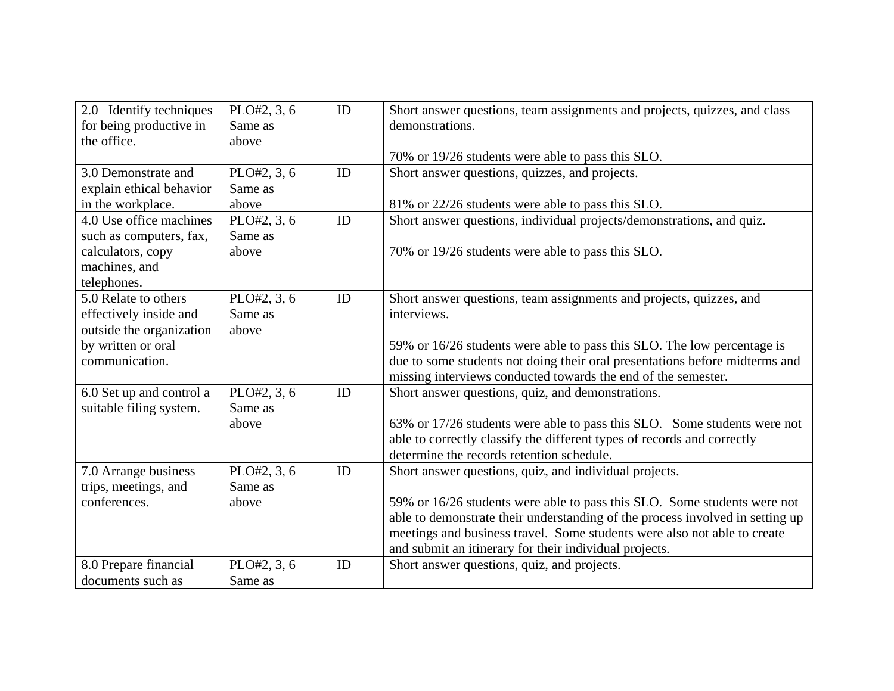| 2.0 Identify techniques  | PLO#2, 3, 6 | ID | Short answer questions, team assignments and projects, quizzes, and class     |
|--------------------------|-------------|----|-------------------------------------------------------------------------------|
| for being productive in  | Same as     |    | demonstrations.                                                               |
| the office.              | above       |    |                                                                               |
|                          |             |    | 70% or 19/26 students were able to pass this SLO.                             |
| 3.0 Demonstrate and      | PLO#2, 3, 6 | ID | Short answer questions, quizzes, and projects.                                |
| explain ethical behavior | Same as     |    |                                                                               |
| in the workplace.        | above       |    | 81% or 22/26 students were able to pass this SLO.                             |
| 4.0 Use office machines  | PLO#2, 3, 6 | ID | Short answer questions, individual projects/demonstrations, and quiz.         |
| such as computers, fax,  | Same as     |    |                                                                               |
| calculators, copy        | above       |    | 70% or 19/26 students were able to pass this SLO.                             |
| machines, and            |             |    |                                                                               |
| telephones.              |             |    |                                                                               |
| 5.0 Relate to others     | PLO#2, 3, 6 | ID | Short answer questions, team assignments and projects, quizzes, and           |
| effectively inside and   | Same as     |    | interviews.                                                                   |
| outside the organization | above       |    |                                                                               |
| by written or oral       |             |    | 59% or 16/26 students were able to pass this SLO. The low percentage is       |
| communication.           |             |    | due to some students not doing their oral presentations before midterms and   |
|                          |             |    | missing interviews conducted towards the end of the semester.                 |
| 6.0 Set up and control a | PLO#2, 3, 6 | ID | Short answer questions, quiz, and demonstrations.                             |
| suitable filing system.  | Same as     |    |                                                                               |
|                          | above       |    | 63% or 17/26 students were able to pass this SLO. Some students were not      |
|                          |             |    | able to correctly classify the different types of records and correctly       |
|                          |             |    | determine the records retention schedule.                                     |
| 7.0 Arrange business     | PLO#2, 3, 6 | ID | Short answer questions, quiz, and individual projects.                        |
| trips, meetings, and     | Same as     |    |                                                                               |
| conferences.             | above       |    | 59% or 16/26 students were able to pass this SLO. Some students were not      |
|                          |             |    | able to demonstrate their understanding of the process involved in setting up |
|                          |             |    | meetings and business travel. Some students were also not able to create      |
|                          |             |    | and submit an itinerary for their individual projects.                        |
| 8.0 Prepare financial    | PLO#2, 3, 6 | ID | Short answer questions, quiz, and projects.                                   |
| documents such as        | Same as     |    |                                                                               |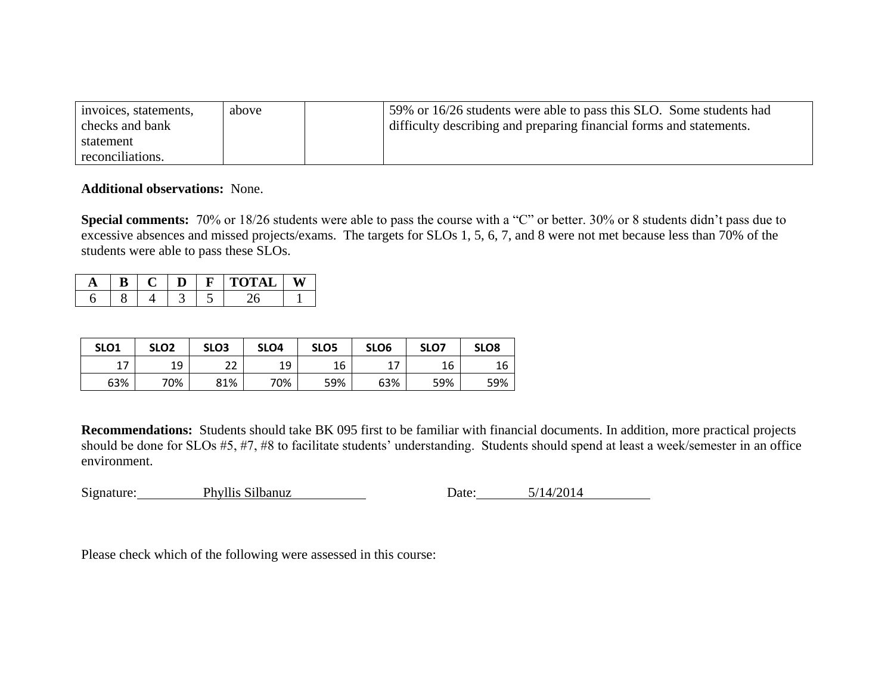| invoices, statements, | above | 59% or 16/26 students were able to pass this SLO. Some students had |
|-----------------------|-------|---------------------------------------------------------------------|
| checks and bank       |       | difficulty describing and preparing financial forms and statements. |
| statement             |       |                                                                     |
| reconciliations.      |       |                                                                     |

## **Additional observations:** None.

**Special comments:** 70% or 18/26 students were able to pass the course with a "C" or better. 30% or 8 students didn't pass due to excessive absences and missed projects/exams. The targets for SLOs 1, 5, 6, 7, and 8 were not met because less than 70% of the students were able to pass these SLOs.

|  |  | ◡ |  |
|--|--|---|--|
|  |  |   |  |

| SLO <sub>1</sub> | SLO <sub>2</sub> | SLO <sub>3</sub> | SLO <sub>4</sub> | SLO <sub>5</sub> | SLO <sub>6</sub> | SLO7 | SLO <sub>8</sub> |
|------------------|------------------|------------------|------------------|------------------|------------------|------|------------------|
| 17               | 19               | າາ<br>ے          | 1 Q              | 16               | 17               | 16   | 16               |
| 63%              | 70%              | 81%              | 70%              | 59%              | 63%              | 59%  | 59%              |

**Recommendations:** Students should take BK 095 first to be familiar with financial documents. In addition, more practical projects should be done for SLOs #5, #7, #8 to facilitate students' understanding. Students should spend at least a week/semester in an office environment.

| Signature: | Phyllis Silbanuz | Date: | 5/14/2014 |  |
|------------|------------------|-------|-----------|--|
|            |                  |       |           |  |

Please check which of the following were assessed in this course: